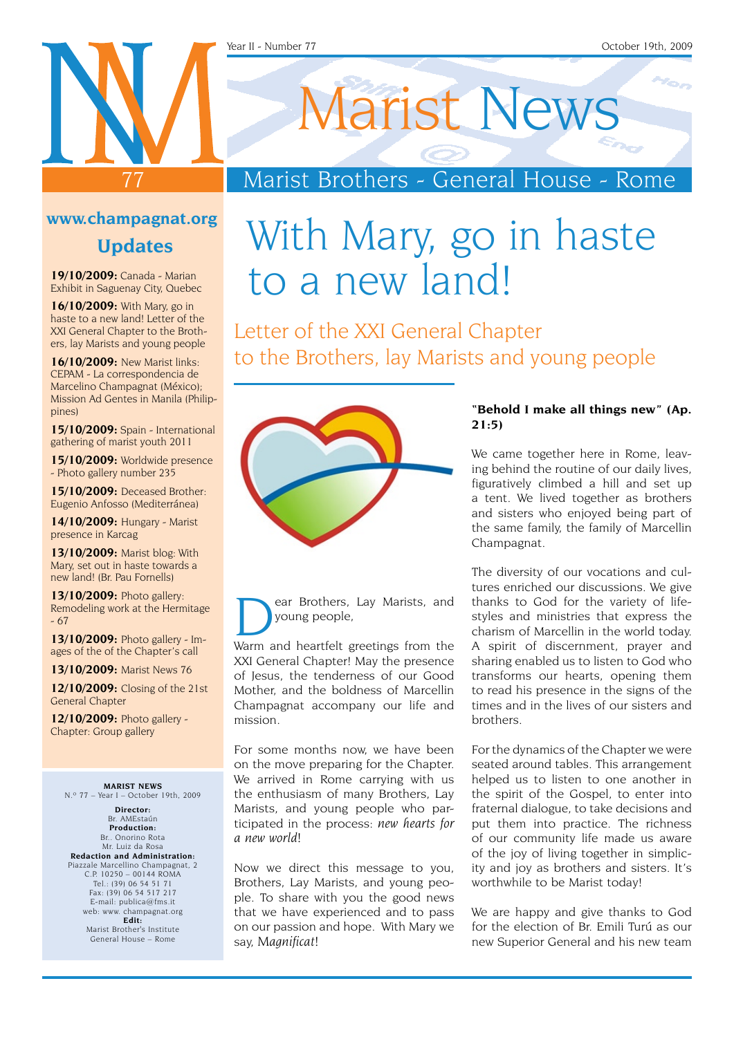# Marist News

to a new land!

Letter of the XXI General Chapter

Marist Brothers - General House - Rome

With Mary, go in haste

to the Brothers, lay Marists and young people

**21:5)**

### **www.champagnat.org**

77

**Updates**

**19/10/2009:** Canada - Marian Exhibit in Saguenay City, Quebec

**16/10/2009:** With Mary, go in haste to a new land! Letter of the XXI General Chapter to the Brothers, lay Marists and young people

**16/10/2009:** New Marist links: CEPAM - La correspondencia de Marcelino Champagnat (México); Mission Ad Gentes in Manila (Philippines)

**15/10/2009:** Spain - International gathering of marist youth 2011

**15/10/2009:** Worldwide presence - Photo gallery number 235

**15/10/2009:** Deceased Brother: Eugenio Anfosso (Mediterránea)

**14/10/2009:** Hungary - Marist presence in Karcag

**13/10/2009:** Marist blog: With Mary, set out in haste towards a new land! (Br. Pau Fornells)

**13/10/2009:** Photo gallery: Remodeling work at the Hermitage  $-67$ 

**13/10/2009:** Photo gallery - Images of the of the Chapter's call

**13/10/2009:** Marist News 76

**12/10/2009:** Closing of the 21st General Chapter

**12/10/2009:** Photo gallery - Chapter: Group gallery

**MARIST NEWS** N.º 77 – Year I – October 19th, 2009

**Director:** Br. AMEstaún **Production:** Br.. Onorino Rota Mr. Luiz da Rosa **Redaction and Administration:** Piazzale Marcellino Champagnat, 2 C.P. 10250 – 00144 ROMA

Tel.: (39) 06 54 51 71 Fax: (39) 06 54 517 217 E-mail: publica@fms.it web: www. champagnat.org **Edit:** Marist Brother's Institute General House – Rome

ear Brothers, Lay Marists, and young people,

Warm and heartfelt greetings from the XXI General Chapter! May the presence of Jesus, the tenderness of our Good Mother, and the boldness of Marcellin Champagnat accompany our life and mission.

For some months now, we have been on the move preparing for the Chapter. We arrived in Rome carrying with us the enthusiasm of many Brothers, Lay Marists, and young people who participated in the process: *new hearts for a new world!*

Now we direct this message to you, Brothers, Lay Marists, and young people. To share with you the good news that we have experienced and to pass on our passion and hope. With Mary we say, *Magnificat!* 

## **"Behold I make all things new" (Ap.**

We came together here in Rome, leaving behind the routine of our daily lives, figuratively climbed a hill and set up a tent. We lived together as brothers and sisters who enjoyed being part of the same family, the family of Marcellin Champagnat.

The diversity of our vocations and cultures enriched our discussions. We give thanks to God for the variety of lifestyles and ministries that express the charism of Marcellin in the world today. A spirit of discernment, prayer and sharing enabled us to listen to God who transforms our hearts, opening them to read his presence in the signs of the times and in the lives of our sisters and brothers.

For the dynamics of the Chapter we were seated around tables. This arrangement helped us to listen to one another in the spirit of the Gospel, to enter into fraternal dialogue, to take decisions and put them into practice. The richness of our community life made us aware of the joy of living together in simplicity and joy as brothers and sisters. It's worthwhile to be Marist today!

We are happy and give thanks to God for the election of Br. Emili Turú as our new Superior General and his new team

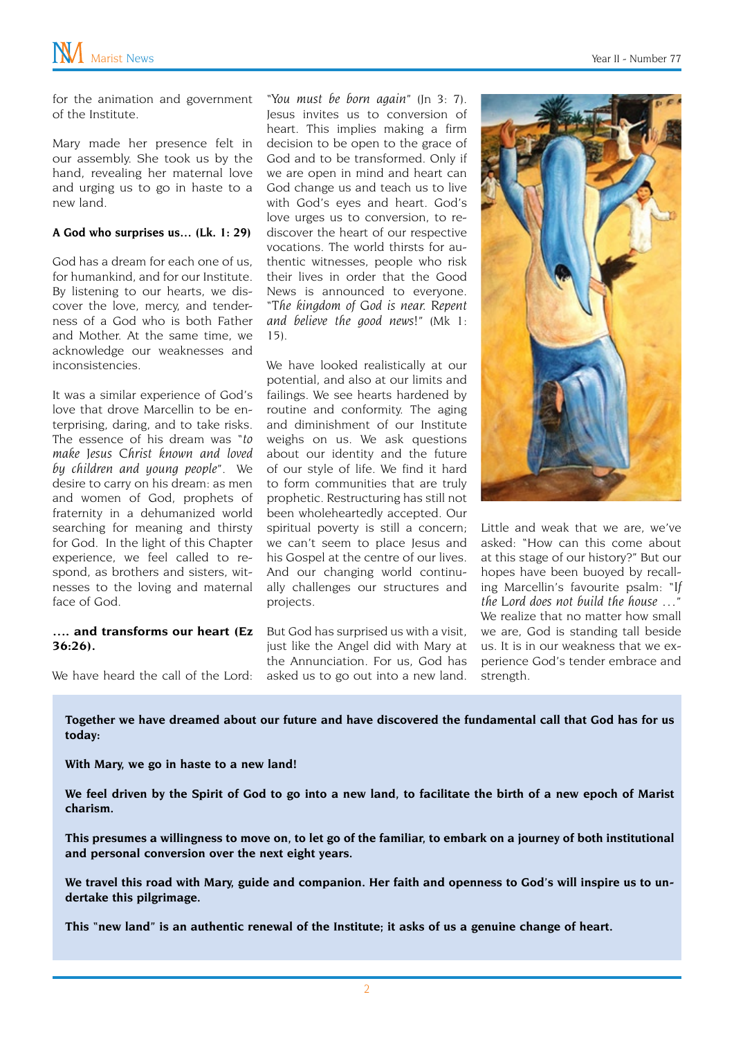Marist News Year II - Number 77

for the animation and government of the Institute.

Mary made her presence felt in our assembly. She took us by the hand, revealing her maternal love and urging us to go in haste to a new land.

#### **A God who surprises us… (Lk. 1: 29)**

God has a dream for each one of us, for humankind, and for our Institute. By listening to our hearts, we discover the love, mercy, and tenderness of a God who is both Father and Mother. At the same time, we acknowledge our weaknesses and inconsistencies.

It was a similar experience of God's love that drove Marcellin to be enterprising, daring, and to take risks. The essence of his dream was "*to make Jesus Christ known and loved by children and young people*". We desire to carry on his dream: as men and women of God, prophets of fraternity in a dehumanized world searching for meaning and thirsty for God. In the light of this Chapter experience, we feel called to respond, as brothers and sisters, witnesses to the loving and maternal face of God.

#### **…. and transforms our heart (Ez 36:26).**

We have heard the call of the Lord:

"*You must be born again*" (Jn 3: 7). Jesus invites us to conversion of heart. This implies making a firm decision to be open to the grace of God and to be transformed. Only if we are open in mind and heart can God change us and teach us to live with God's eyes and heart. God's love urges us to conversion, to rediscover the heart of our respective vocations. The world thirsts for authentic witnesses, people who risk their lives in order that the Good News is announced to everyone. "*The kingdom of God is near. Repent and believe the good news!*" (Mk 1: 15).

We have looked realistically at our potential, and also at our limits and failings. We see hearts hardened by routine and conformity. The aging and diminishment of our Institute weighs on us. We ask questions about our identity and the future of our style of life. We find it hard to form communities that are truly prophetic. Restructuring has still not been wholeheartedly accepted. Our spiritual poverty is still a concern; we can't seem to place Jesus and his Gospel at the centre of our lives. And our changing world continually challenges our structures and projects.

But God has surprised us with a visit, just like the Angel did with Mary at the Annunciation. For us, God has asked us to go out into a new land.



Little and weak that we are, we've asked: "How can this come about at this stage of our history?" But our hopes have been buoyed by recalling Marcellin's favourite psalm: "*If the Lord does not build the house …*" We realize that no matter how small we are, God is standing tall beside us. It is in our weakness that we experience God's tender embrace and strength.

**Together we have dreamed about our future and have discovered the fundamental call that God has for us today:**

**With Mary, we go in haste to a new land!** 

**We feel driven by the Spirit of God to go into a new land, to facilitate the birth of a new epoch of Marist charism.**

**This presumes a willingness to move on, to let go of the familiar, to embark on a journey of both institutional and personal conversion over the next eight years.** 

**We travel this road with Mary, guide and companion. Her faith and openness to God's will inspire us to undertake this pilgrimage.**

**This "new land" is an authentic renewal of the Institute; it asks of us a genuine change of heart.**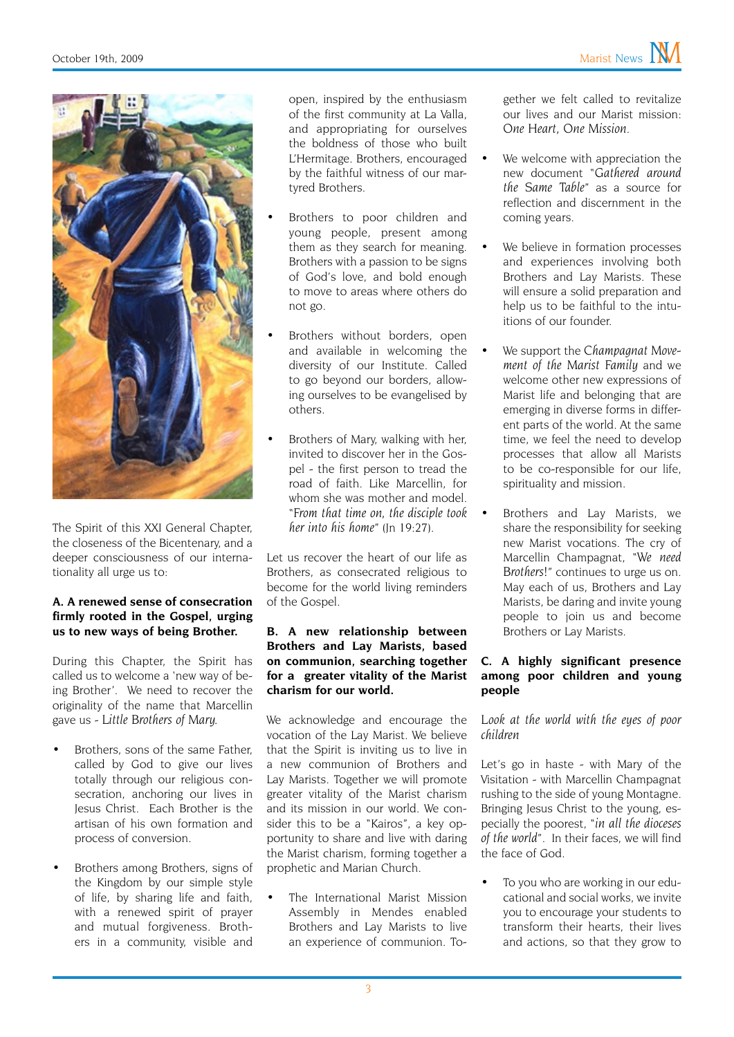

The Spirit of this XXI General Chapter, the closeness of the Bicentenary, and a deeper consciousness of our internationality all urge us to:

#### **A. A renewed sense of consecration firmly rooted in the Gospel, urging us to new ways of being Brother.**

During this Chapter, the Spirit has called us to welcome a 'new way of being Brother'. We need to recover the originality of the name that Marcellin gave us - *Little Brothers of Mary.*

- Brothers, sons of the same Father, called by God to give our lives totally through our religious consecration, anchoring our lives in Jesus Christ. Each Brother is the artisan of his own formation and process of conversion. •
- Brothers among Brothers, signs of the Kingdom by our simple style of life, by sharing life and faith, with a renewed spirit of prayer and mutual forgiveness. Brothers in a community, visible and •

open, inspired by the enthusiasm of the first community at La Valla, and appropriating for ourselves the boldness of those who built L'Hermitage. Brothers, encouraged by the faithful witness of our martyred Brothers.

- Brothers to poor children and young people, present among them as they search for meaning. Brothers with a passion to be signs of God's love, and bold enough to move to areas where others do not go. •
- Brothers without borders, open and available in welcoming the diversity of our Institute. Called to go beyond our borders, allowing ourselves to be evangelised by others. •
- Brothers of Mary, walking with her, invited to discover her in the Gospel - the first person to tread the road of faith. Like Marcellin, for whom she was mother and model. "*From that time on, the disciple took her into his home*" (Jn 19:27). •

Let us recover the heart of our life as Brothers, as consecrated religious to become for the world living reminders of the Gospel.

#### **B. A new relationship between Brothers and Lay Marists, based on communion, searching together for a greater vitality of the Marist charism for our world.**

We acknowledge and encourage the vocation of the Lay Marist. We believe that the Spirit is inviting us to live in a new communion of Brothers and Lay Marists. Together we will promote greater vitality of the Marist charism and its mission in our world. We consider this to be a "Kairos", a key opportunity to share and live with daring the Marist charism, forming together a prophetic and Marian Church.

The International Marist Mission Assembly in Mendes enabled Brothers and Lay Marists to live an experience of communion. To- •

gether we felt called to revitalize our lives and our Marist mission: *One Heart, One Mission*.

- We welcome with appreciation the new document "*Gathered around the Same Table*" as a source for reflection and discernment in the coming years. •
- We believe in formation processes and experiences involving both Brothers and Lay Marists. These will ensure a solid preparation and help us to be faithful to the intuitions of our founder. •
- We support the *Champagnat Movement of the Marist Family* and we welcome other new expressions of Marist life and belonging that are emerging in diverse forms in different parts of the world. At the same time, we feel the need to develop processes that allow all Marists to be co-responsible for our life, spirituality and mission. •
- Brothers and Lay Marists, we share the responsibility for seeking new Marist vocations. The cry of Marcellin Champagnat, "*We need Brothers!*" continues to urge us on. May each of us, Brothers and Lay Marists, be daring and invite young people to join us and become Brothers or Lay Marists. •

#### **C. A highly significant presence among poor children and young people**

Look at the world with the eyes of poor *children*

Let's go in haste - with Mary of the Visitation - with Marcellin Champagnat rushing to the side of young Montagne. Bringing Jesus Christ to the young, especially the poorest, "*in all the dioceses of the world*". In their faces, we will find the face of God.

To you who are working in our educational and social works, we invite you to encourage your students to transform their hearts, their lives and actions, so that they grow to •